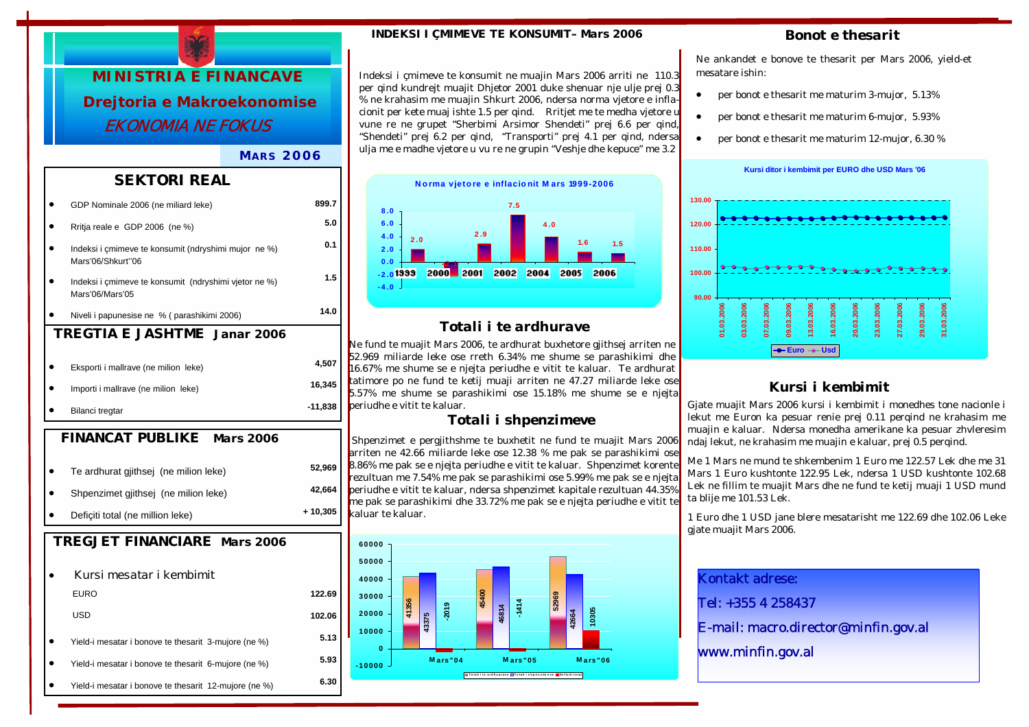

### *MARS 2006*

### *SEKTORI REAL*

|                                             | GDP Nominale 2006 (ne miliard leke)                                       | 899.7   |  |
|---------------------------------------------|---------------------------------------------------------------------------|---------|--|
|                                             | Rritja reale e GDP 2006 (ne %)                                            | 5.0     |  |
|                                             | Indeksi i cmimeve te konsumit (ndryshimi mujor ne %)<br>Mars'06/Shkurt"06 | 0.1     |  |
|                                             | Indeksi i çmimeve te konsumit (ndryshimi vjetor ne %)<br>Mars'06/Mars'05  |         |  |
|                                             | Niveli i papunesise ne % (parashikimi 2006)                               | 14.0    |  |
| <b>TREGTIA E JASHTME</b> Janar 2006         |                                                                           |         |  |
|                                             |                                                                           |         |  |
|                                             | Eksporti i mallrave (ne milion leke)                                      | 4,507   |  |
|                                             | Importi i mallrave (ne milion leke)                                       | 16,345  |  |
|                                             | Bilanci tregtar                                                           | -11,838 |  |
| <i>FINANCAT PUBLIKE</i><br><i>Mars 2006</i> |                                                                           |         |  |
|                                             |                                                                           |         |  |

| Te ardhurat gjithsej (ne milion leke)                 | 52,969   |
|-------------------------------------------------------|----------|
| Shpenzimet gjithsej (ne milion leke)                  | 42,664   |
| Deficiti total (ne million leke)                      | + 10,305 |
| <b>TREGJET FINANCIARE Mars 2006</b>                   |          |
| Kursi mesatar i kembimit                              |          |
| <b>EURO</b>                                           | 122.69   |
| USD                                                   | 102.06   |
| Yield-i mesatar i bonove te thesarit 3-mujore (ne %)  | 5.13     |
| Yield-i mesatar i bonove te thesarit 6-mujore (ne %)  | 5.93     |
| Yield-i mesatar i bonove te thesarit 12-mujore (ne %) | 6.30     |
|                                                       |          |

#### *INDEKSI I ÇMIMEVE TE KONSUMIT– Mars 2006*

Indeksi i çmimeve te konsumit ne muajin Mars 2006 arriti ne 110.3 per qind kundrejt muajit Dhjetor 2001 duke shenuar nje ulje prej 0.3 % ne krahasim me muajin Shkurt 2006, ndersa norma vjetore e inflacionit per kete muaj ishte 1.5 per qind. Rritjet me te medha vjetore u vune re ne grupet "Sherbimi Arsimor Shendeti" prej 6.6 per qind, "Shendeti" prej 6.2 per qind, "Transporti" prej 4.1 per qind, ndersa ulja me e madhe vjetore u vu re ne grupin "Veshje dhe kepuce" me 3.2



### *Totali i te ardhurave*

Ne fund te muajit Mars 2006, te ardhurat buxhetore gjithsej arriten ne 52.969 miliarde leke ose rreth 6.34% me shume se parashikimi dhe 16.67% me shume se e njejta periudhe e vitit te kaluar. Te ardhurat tatimore po ne fund te ketij muaji arriten ne 47.27 miliarde leke ose 5.57% me shume se parashikimi ose 15.18% me shume se e njejta periudhe e vitit te kaluar.

### *Totali i shpenzimeve*

 Shpenzimet e pergjithshme te buxhetit ne fund te muajit Mars 2006 arriten ne 42.66 miliarde leke ose 12.38 % me pak se parashikimi ose 8.86% me pak se e njejta periudhe e vitit te kaluar. Shpenzimet korente rezultuan me 7.54% me pak se parashikimi ose 5.99% me pak se e njejta periudhe e vitit te kaluar, ndersa shpenzimet kapitale rezultuan 44.35% me pak se parashikimi dhe 33.72% me pak se e njejta periudhe e vitit to kaluar te kaluar.



### *Bonot e thesarit*

Ne ankandet e bonove te thesarit per Mars 2006, yield-et mesatare ishin:

- per bonot e thesarit me maturim 3-mujor, 5.13%
- per bonot e thesarit me maturim 6-mujor, 5.93%
- per bonot e thesarit me maturim 12-mujor, 6.30 %



# *Kursi i kembimit*

Gjate muajit Mars 2006 kursi i kembimit i monedhes tone nacionle i lekut me Euron ka pesuar renie prej 0.11 perqind ne krahasim me muajin e kaluar. Ndersa monedha amerikane ka pesuar zhvleresim ndaj lekut, ne krahasim me muajin e kaluar, prej 0.5 perqind.

Me 1 Mars ne mund te shkembenim 1 Euro me 122.57 Lek dhe me 31 Mars 1 Euro kushtonte 122.95 Lek, ndersa 1 USD kushtonte 102.68 Lek ne fillim te muajit Mars dhe ne fund te ketij muaji 1 USD mund ta blije me 101.53 Lek.

1 Euro dhe 1 USD jane blere mesatarisht me 122.69 dhe 102.06 Leke gjate muajit Mars 2006.

Kontakt adrese: Tel: +355 4 258437 E-mail: macro.director@minfin.gov.al www.minfin.gov.al